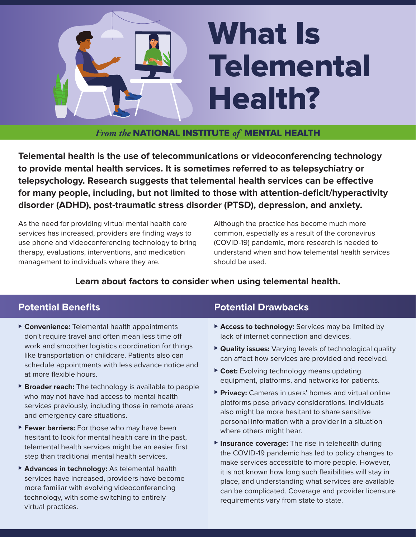

*From the* NATIONAL INSTITUTE *of* MENTAL HEALTH

**Telemental health is the use of telecommunications or videoconferencing technology to provide mental health services. It is sometimes referred to as telepsychiatry or telepsychology. Research suggests that telemental health services can be effective for many people, including, but not limited to those with attention-deficit/hyperactivity disorder (ADHD), post-traumatic stress disorder (PTSD), depression, and anxiety.** 

As the need for providing virtual mental health care services has increased, providers are finding ways to use phone and videoconferencing technology to bring therapy, evaluations, interventions, and medication management to individuals where they are.

Although the practice has become much more common, especially as a result of the coronavirus (COVID-19) pandemic, more research is needed to understand when and how telemental health services should be used.

### **Learn about factors to consider when using telemental health.**

# **Potential Benefits**

- **► Convenience:** Telemental health appointments don't require travel and often mean less time off work and smoother logistics coordination for things like transportation or childcare. Patients also can schedule appointments with less advance notice and at more flexible hours.
- ▶ **Broader reach:** The technology is available to people who may not have had access to mental health services previously, including those in remote areas and emergency care situations.
- ▶ Fewer barriers: For those who may have been hesitant to look for mental health care in the past, telemental health services might be an easier first step than traditional mental health services.
- ▶ **Advances in technology:** As telemental health services have increased, providers have become more familiar with evolving videoconferencing technology, with some switching to entirely virtual practices.

# **Potential Drawbacks**

- ⊲ **Access to technology:** Services may be limited by lack of internet connection and devices.
- ▶ **Quality issues:** Varying levels of technological quality can affect how services are provided and received.
- ► Cost: Evolving technology means updating equipment, platforms, and networks for patients.
- ▶ Privacy: Cameras in users' homes and virtual online platforms pose privacy considerations. Individuals also might be more hesitant to share sensitive personal information with a provider in a situation where others might hear.
- ▶ Insurance coverage: The rise in telehealth during the COVID-19 pandemic has led to policy changes to make services accessible to more people. However, it is not known how long such flexibilities will stay in place, and understanding what services are available can be complicated. Coverage and provider licensure requirements vary from state to state.